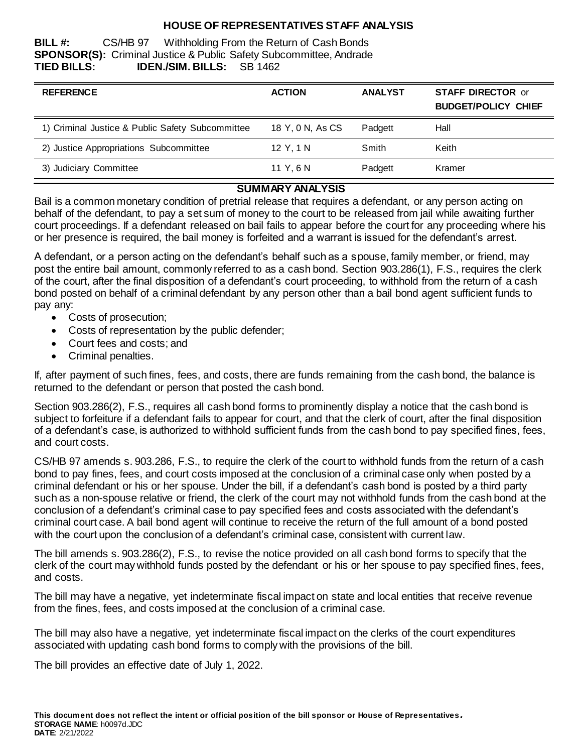## **HOUSE OF REPRESENTATIVES STAFF ANALYSIS**

**BILL #:** CS/HB 97 Withholding From the Return of Cash Bonds **SPONSOR(S):** Criminal Justice & Public Safety Subcommittee, Andrade **TIED BILLS: IDEN./SIM. BILLS:** SB 1462

| <b>REFERENCE</b>                                 | <b>ACTION</b>    | <b>ANALYST</b> | <b>STAFF DIRECTOR or</b><br><b>BUDGET/POLICY CHIEF</b> |
|--------------------------------------------------|------------------|----------------|--------------------------------------------------------|
| 1) Criminal Justice & Public Safety Subcommittee | 18 Y, 0 N, As CS | Padgett        | Hall                                                   |
| 2) Justice Appropriations Subcommittee           | 12 Y. 1 N        | Smith          | Keith                                                  |
| 3) Judiciary Committee                           | 11 Y.6 N         | Padgett        | Kramer                                                 |

# **SUMMARY ANALYSIS**

Bail is a common monetary condition of pretrial release that requires a defendant, or any person acting on behalf of the defendant, to pay a set sum of money to the court to be released from jail while awaiting further court proceedings. If a defendant released on bail fails to appear before the court for any proceeding where his or her presence is required, the bail money is forfeited and a warrant is issued for the defendant's arrest.

A defendant, or a person acting on the defendant's behalf such as a spouse, family member, or friend, may post the entire bail amount, commonly referred to as a cash bond. Section 903.286(1), F.S., requires the clerk of the court, after the final disposition of a defendant's court proceeding, to withhold from the return of a cash bond posted on behalf of a criminal defendant by any person other than a bail bond agent sufficient funds to pay any:

- Costs of prosecution;
- Costs of representation by the public defender;
- Court fees and costs: and
- Criminal penalties.

If, after payment of such fines, fees, and costs, there are funds remaining from the cash bond, the balance is returned to the defendant or person that posted the cash bond.

Section 903.286(2), F.S., requires all cash bond forms to prominently display a notice that the cash bond is subject to forfeiture if a defendant fails to appear for court, and that the clerk of court, after the final disposition of a defendant's case, is authorized to withhold sufficient funds from the cash bond to pay specified fines, fees, and court costs.

CS/HB 97 amends s. 903.286, F.S., to require the clerk of the court to withhold funds from the return of a cash bond to pay fines, fees, and court costs imposed at the conclusion of a criminal case only when posted by a criminal defendant or his or her spouse. Under the bill, if a defendant's cash bond is posted by a third party such as a non-spouse relative or friend, the clerk of the court may not withhold funds from the cash bond at the conclusion of a defendant's criminal case to pay specified fees and costs associated with the defendant's criminal court case. A bail bond agent will continue to receive the return of the full amount of a bond posted with the court upon the conclusion of a defendant's criminal case, consistent with current law.

The bill amends s. 903.286(2), F.S., to revise the notice provided on all cash bond forms to specify that the clerk of the court may withhold funds posted by the defendant or his or her spouse to pay specified fines, fees, and costs.

The bill may have a negative, yet indeterminate fiscal impact on state and local entities that receive revenue from the fines, fees, and costs imposed at the conclusion of a criminal case.

The bill may also have a negative, yet indeterminate fiscal impact on the clerks of the court expenditures associated with updating cash bond forms to comply with the provisions of the bill.

The bill provides an effective date of July 1, 2022.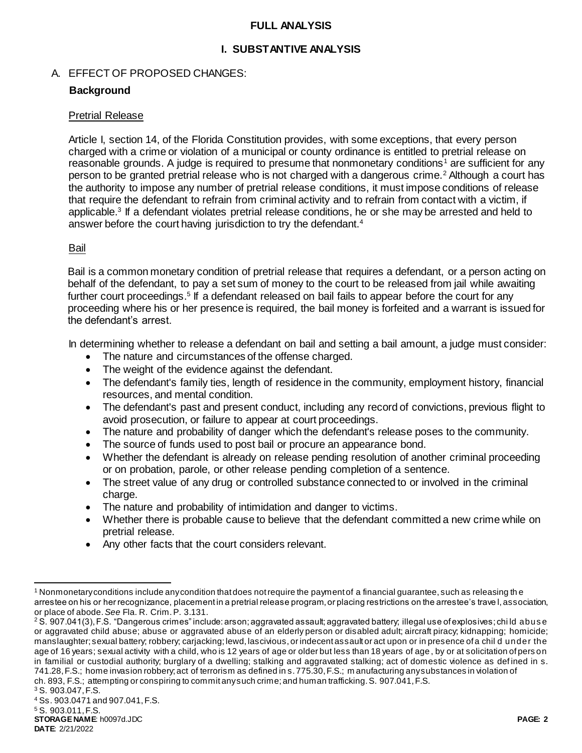### **FULL ANALYSIS**

## **I. SUBSTANTIVE ANALYSIS**

# A. EFFECT OF PROPOSED CHANGES:

# **Background**

### Pretrial Release

Article I, section 14, of the Florida Constitution provides, with some exceptions, that every person charged with a crime or violation of a municipal or county ordinance is entitled to pretrial release on reasonable grounds. A judge is required to presume that nonmonetary conditions<sup>1</sup> are sufficient for any person to be granted pretrial release who is not charged with a dangerous crime.<sup>2</sup> Although a court has the authority to impose any number of pretrial release conditions, it must impose conditions of release that require the defendant to refrain from criminal activity and to refrain from contact with a victim, if applicable.<sup>3</sup> If a defendant violates pretrial release conditions, he or she may be arrested and held to answer before the court having jurisdiction to try the defendant.<sup>4</sup>

#### Bail

Bail is a common monetary condition of pretrial release that requires a defendant, or a person acting on behalf of the defendant, to pay a set sum of money to the court to be released from jail while awaiting further court proceedings.<sup>5</sup> If a defendant released on bail fails to appear before the court for any proceeding where his or her presence is required, the bail money is forfeited and a warrant is issued for the defendant's arrest.

In determining whether to release a defendant on bail and setting a bail amount, a judge must consider:

- The nature and circumstances of the offense charged.
- The weight of the evidence against the defendant.
- The defendant's family ties, length of residence in the community, employment history, financial resources, and mental condition.
- The defendant's past and present conduct, including any record of convictions, previous flight to avoid prosecution, or failure to appear at court proceedings.
- The nature and probability of danger which the defendant's release poses to the community.
- The source of funds used to post bail or procure an appearance bond.
- Whether the defendant is already on release pending resolution of another criminal proceeding or on probation, parole, or other release pending completion of a sentence.
- The street value of any drug or controlled substance connected to or involved in the criminal charge.
- The nature and probability of intimidation and danger to victims.
- Whether there is probable cause to believe that the defendant committed a new crime while on pretrial release.
- Any other facts that the court considers relevant.

l <sup>1</sup> Nonmonetary conditions include any condition that does not require the payment of a financial guarantee, such as releasing the arrestee on his or her recognizance, placement in a pretrial release program, or placing restrictions on the arrestee's trave l, association, or place of abode. *See* Fla. R. Crim. P. 3.131.

<sup>&</sup>lt;sup>2</sup> S. 907.041(3), F.S. "Dangerous crimes" include: arson; aggravated assault; aggravated battery; illegal use of explosives; chi ld abus e or aggravated child abuse; abuse or aggravated abuse of an elderly person or disabled adult; aircraft piracy; kidnapping; homicide; manslaughter; sexual battery; robbery; carjacking; lewd, lascivious, or indecent assault or act upon or in presence of a chil d under the age of 16 years; sexual activity with a child, who is 12 years of age or older but less than 18 years of age , by or at solicitation of pers on in familial or custodial authority; burglary of a dwelling; stalking and aggravated stalking; act of domestic violence as def ined in s. 741.28, F.S.; home invasion robbery; act of terrorism as defined in s. 775.30, F.S.; m anufacturing any substances in violation of ch. 893, F.S.; attempting or conspiring to commit any such crime; and human trafficking. S. 907.041, F.S.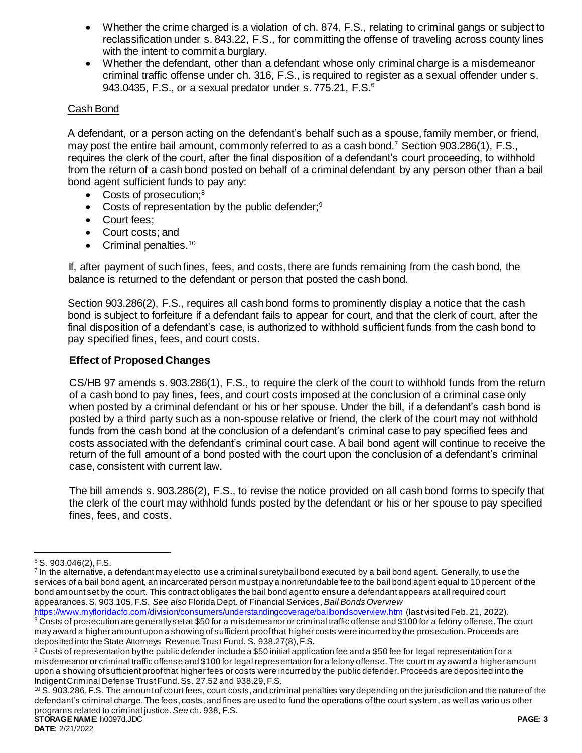- Whether the crime charged is a violation of ch. 874, F.S., relating to criminal gangs or subject to reclassification under s. 843.22, F.S., for committing the offense of traveling across county lines with the intent to commit a burglary.
- Whether the defendant, other than a defendant whose only criminal charge is a misdemeanor criminal traffic offense under ch. 316, F.S., is required to register as a sexual offender under s. 943.0435, F.S., or a sexual predator under s. 775.21, F.S.<sup>6</sup>

# Cash Bond

A defendant, or a person acting on the defendant's behalf such as a spouse, family member, or friend, may post the entire bail amount, commonly referred to as a cash bond.<sup>7</sup> Section 903.286(1), F.S., requires the clerk of the court, after the final disposition of a defendant's court proceeding, to withhold from the return of a cash bond posted on behalf of a criminal defendant by any person other than a bail bond agent sufficient funds to pay any:

- Costs of prosecution:<sup>8</sup>
- Costs of representation by the public defender;<sup>9</sup>
- Court fees:
- Court costs: and
- $\bullet$  Criminal penalties.<sup>10</sup>

If, after payment of such fines, fees, and costs, there are funds remaining from the cash bond, the balance is returned to the defendant or person that posted the cash bond.

Section 903.286(2), F.S., requires all cash bond forms to prominently display a notice that the cash bond is subject to forfeiture if a defendant fails to appear for court, and that the clerk of court, after the final disposition of a defendant's case, is authorized to withhold sufficient funds from the cash bond to pay specified fines, fees, and court costs.

# **Effect of Proposed Changes**

CS/HB 97 amends s. 903.286(1), F.S., to require the clerk of the court to withhold funds from the return of a cash bond to pay fines, fees, and court costs imposed at the conclusion of a criminal case only when posted by a criminal defendant or his or her spouse. Under the bill, if a defendant's cash bond is posted by a third party such as a non-spouse relative or friend, the clerk of the court may not withhold funds from the cash bond at the conclusion of a defendant's criminal case to pay specified fees and costs associated with the defendant's criminal court case. A bail bond agent will continue to receive the return of the full amount of a bond posted with the court upon the conclusion of a defendant's criminal case, consistent with current law.

The bill amends s. 903.286(2), F.S., to revise the notice provided on all cash bond forms to specify that the clerk of the court may withhold funds posted by the defendant or his or her spouse to pay specified fines, fees, and costs.

 $\overline{a}$ 

 $6$  S. 903.046(2), F.S.

<sup>&</sup>lt;sup>7</sup> In the alternative, a defendant may elect to use a criminal suretybail bond executed by a bail bond agent. Generally, to use the services of a bail bond agent, an incarcerated person must pay a nonrefundable fee to the bail bond agent equal to 10 percent of the bond amount set by the court. This contract obligates the bail bond agent to ensure a defendant appears at all required court appearances. S. 903.105, F.S. *See also* Florida Dept. of Financial Services, *Bail Bonds Overview* 

<https://www.myfloridacfo.com/division/consumers/understandingcoverage/bailbondsoverview.htm> (last visited Feb. 21, 2022). 8 Costs of prosecution are generally set at \$50 for a misdemeanor or criminal traffic offense and \$100 for a felony offense. The court may award a higher amount upon a showing of sufficient proof that higher costs were incurred by the prosecution. Proceeds are deposited into the State Attorneys Revenue Trust Fund. S. 938.27(8), F.S.

<sup>9</sup> Costs of representation by the public defender include a \$50 initial application fee and a \$50 fee for legal representation for a misdemeanor or criminal traffic offense and \$100 for legal representation for a felony offense. The court m ay award a higher amount upon a showing of sufficient proof that higher fees or costs were incurred by the public defender. Proceeds are deposited into the Indigent Criminal Defense Trust Fund. Ss. 27.52 and 938.29, F.S.

**STORAGE NAME**: h0097d.JDC **PAGE: 3** <sup>10</sup> S. 903.286, F.S. The amount of court fees, court costs, and criminal penalties vary depending on the jurisdiction and the nature of the defendant's criminal charge. The fees, costs, and fines are used to fund the operations of the court system, as well as vario us other programs related to criminal justice. *See* ch. 938, F.S.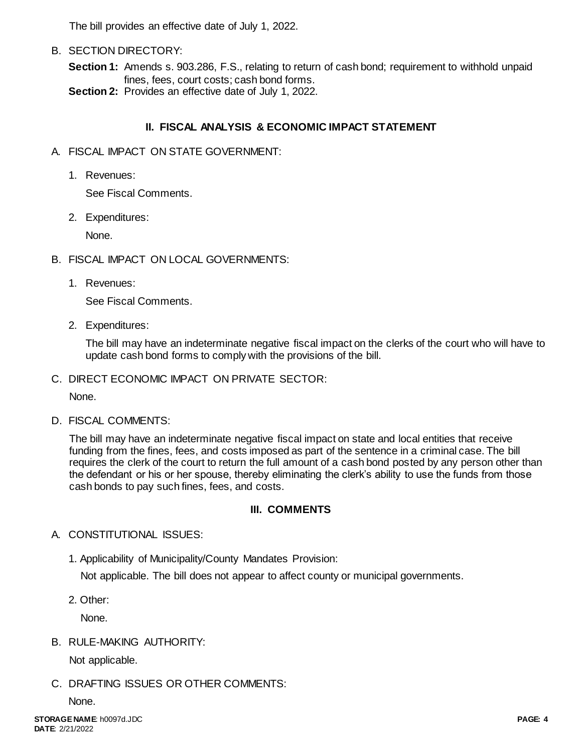The bill provides an effective date of July 1, 2022.

B. SECTION DIRECTORY:

**Section 1:** Amends s. 903.286, F.S., relating to return of cash bond; requirement to withhold unpaid fines, fees, court costs; cash bond forms.

**Section 2:** Provides an effective date of July 1, 2022.

# **II. FISCAL ANALYSIS & ECONOMIC IMPACT STATEMENT**

- A. FISCAL IMPACT ON STATE GOVERNMENT:
	- 1. Revenues:

See Fiscal Comments.

2. Expenditures:

None.

- B. FISCAL IMPACT ON LOCAL GOVERNMENTS:
	- 1. Revenues:

See Fiscal Comments.

2. Expenditures:

The bill may have an indeterminate negative fiscal impact on the clerks of the court who will have to update cash bond forms to comply with the provisions of the bill.

C. DIRECT ECONOMIC IMPACT ON PRIVATE SECTOR:

None.

D. FISCAL COMMENTS:

The bill may have an indeterminate negative fiscal impact on state and local entities that receive funding from the fines, fees, and costs imposed as part of the sentence in a criminal case. The bill requires the clerk of the court to return the full amount of a cash bond posted by any person other than the defendant or his or her spouse, thereby eliminating the clerk's ability to use the funds from those cash bonds to pay such fines, fees, and costs.

## **III. COMMENTS**

# A. CONSTITUTIONAL ISSUES:

1. Applicability of Municipality/County Mandates Provision:

Not applicable. The bill does not appear to affect county or municipal governments.

2. Other:

None.

B. RULE-MAKING AUTHORITY:

Not applicable.

C. DRAFTING ISSUES OR OTHER COMMENTS:

None.